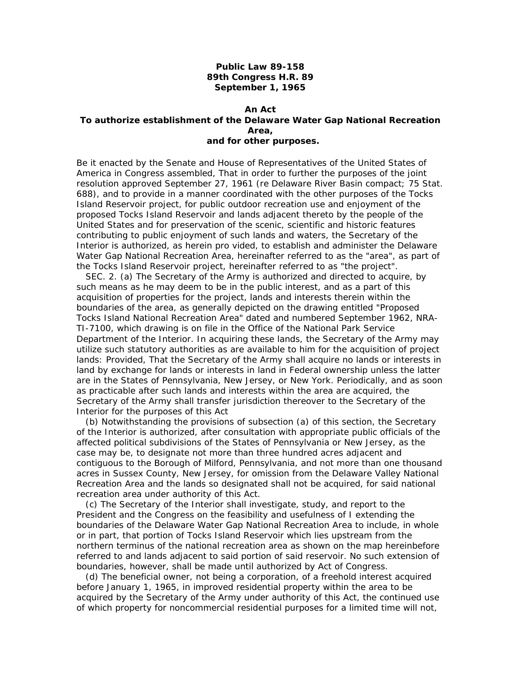## **Public Law 89-158 89th Congress H.R. 89 September 1, 1965**

## **An Act To authorize establishment of the Delaware Water Gap National Recreation Area, and for other purposes.**

*Be it enacted by the Senate and House of Representatives of the United States of America in Congress assembled,* That in order to further the purposes of the joint resolution approved September 27, 1961 (re Delaware River Basin compact; 75 Stat. 688), and to provide in a manner coordinated with the other purposes of the Tocks Island Reservoir project, for public outdoor recreation use and enjoyment of the proposed Tocks Island Reservoir and lands adjacent thereto by the people of the United States and for preservation of the scenic, scientific and historic features contributing to public enjoyment of such lands and waters, the Secretary of the Interior is authorized, as herein pro vided, to establish and administer the Delaware Water Gap National Recreation Area, hereinafter referred to as the "area", as part of the Tocks Island Reservoir project, hereinafter referred to as "the project".

 SEC. 2. (a) The Secretary of the Army is authorized and directed to acquire, by such means as he may deem to be in the public interest, and as a part of this acquisition of properties for the project, lands and interests therein within the boundaries of the area, as generally depicted on the drawing entitled "Proposed Tocks Island National Recreation Area" dated and numbered September 1962, NRA-TI-7100, which drawing is on file in the Office of the National Park Service Department of the Interior. In acquiring these lands, the Secretary of the Army may utilize such statutory authorities as are available to him for the acquisition of project lands: *Provided,* That the Secretary of the Army shall acquire no lands or interests in land by exchange for lands or interests in land in Federal ownership unless the latter are in the States of Pennsylvania, New Jersey, or New York. Periodically, and as soon as practicable after such lands and interests within the area are acquired, the Secretary of the Army shall transfer jurisdiction thereover to the Secretary of the Interior for the purposes of this Act

(b) Notwithstanding the provisions of subsection (a) of this section, the Secretary of the Interior is authorized, after consultation with appropriate public officials of the affected political subdivisions of the States of Pennsylvania or New Jersey, as the case may be, to designate not more than three hundred acres adjacent and contiguous to the Borough of Milford, Pennsylvania, and not more than one thousand acres in Sussex County, New Jersey, for omission from the Delaware Valley National Recreation Area and the lands so designated shall not be acquired, for said national recreation area under authority of this Act.

(c) The Secretary of the Interior shall investigate, study, and report to the President and the Congress on the feasibility and usefulness of I extending the boundaries of the Delaware Water Gap National Recreation Area to include, in whole or in part, that portion of Tocks Island Reservoir which lies upstream from the northern terminus of the national recreation area as shown on the map hereinbefore referred to and lands adjacent to said portion of said reservoir. No such extension of boundaries, however, shall be made until authorized by Act of Congress.

(d) The beneficial owner, not being a corporation, of a freehold interest acquired before January 1, 1965, in improved residential property within the area to be acquired by the Secretary of the Army under authority of this Act, the continued use of which property for noncommercial residential purposes for a limited time will not,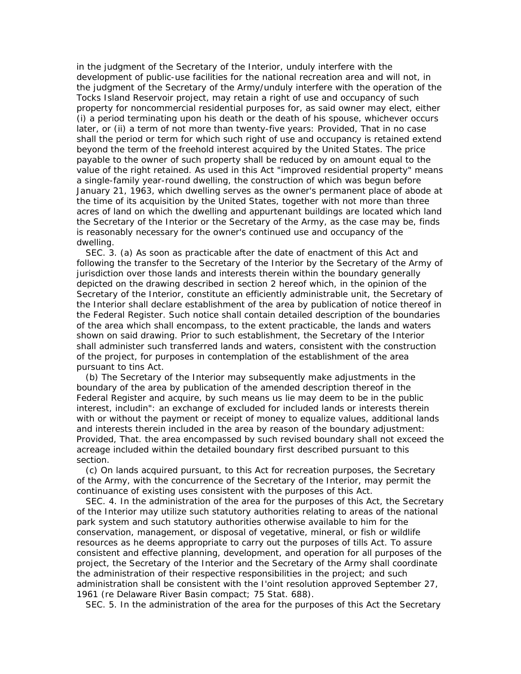acres of land on which the dwelling and appurtenant buildings are located which land in the judgment of the Secretary of the Interior, unduly interfere with the development of public-use facilities for the national recreation area and will not, in the judgment of the Secretary of the Army/unduly interfere with the operation of the Tocks Island Reservoir project, may retain a right of use and occupancy of such property for noncommercial residential purposes for, as said owner may elect, either (i) a period terminating upon his death or the death of his spouse, whichever occurs later, or (ii) a term of not more than twenty-five years: *Provided,* That in no case shall the period or term for which such right of use and occupancy is retained extend beyond the term of the freehold interest acquired by the United States. The price payable to the owner of such property shall be reduced by on amount equal to the value of the right retained. As used in this Act "improved residential property" means a single-family year-round dwelling, the construction of which was begun before January 21, 1963, which dwelling serves as the owner's permanent place of abode at the time of its acquisition by the United States, together with not more than three the Secretary of the Interior or the Secretary of the Army, as the case may be, finds is reasonably necessary for the owner's continued use and occupancy of the dwelling.

 SEC. 3. (a) As soon as practicable after the date of enactment of this Act and following the transfer to the Secretary of the Interior by the Secretary of the Army of jurisdiction over those lands and interests therein within the boundary generally depicted on the drawing described in section 2 hereof which, in the opinion of the Secretary of the Interior, constitute an efficiently administrable unit, the Secretary of the Interior shall declare establishment of the area by publication of notice thereof in the Federal Register. Such notice shall contain detailed description of the boundaries of the area which shall encompass, to the extent practicable, the lands and waters shown on said drawing. Prior to such establishment, the Secretary of the Interior shall administer such transferred lands and waters, consistent with the construction of the project, for purposes in contemplation of the establishment of the area pursuant to tins Act.

(b) The Secretary of the Interior may subsequently make adjustments in the boundary of the area by publication of the amended description thereof in the Federal Register and acquire, by such means us lie may deem to be in the public interest, includin": an exchange of excluded for included lands or interests therein with or without the payment or receipt of money to equalize values, additional lands and interests therein included in the area by reason of the boundary adjustment: *Provided,* That. the area encompassed by such revised boundary shall not exceed the acreage included within the detailed boundary first described pursuant to this section.

(c) On lands acquired pursuant, to this Act for recreation purposes, the Secretary of the Army, with the concurrence of the Secretary of the Interior, may permit the continuance of existing uses consistent with the purposes of this Act.

 SEC. 4. In the administration of the area for the purposes of this Act, the Secretary of the Interior may utilize such statutory authorities relating to areas of the national park system and such statutory authorities otherwise available to him for the conservation, management, or disposal of vegetative, mineral, or fish or wildlife resources as he deems appropriate to carry out the purposes of tills Act. To assure consistent and effective planning, development, and operation for all purposes of the project, the Secretary of the Interior and the Secretary of the Army shall coordinate the administration of their respective responsibilities in the project; and such administration shall be consistent with the I'oint resolution approved September 27, 1961 (re Delaware River Basin compact; 75 Stat. 688).

SEC. 5. In the administration of the area for the purposes of this Act the Secretary